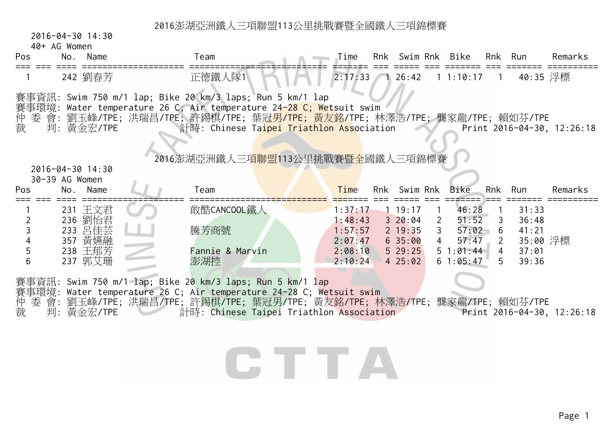2016-04-30 14:30

| Pos                           | 40+ AG Women<br>No. Name                                       | Team                                                                                                                                                                                                                                                                                                                                                          | Time                                                           |                                                                        |            | Rnk Swim Rnk Bike                                                                  |                                                           | Rnk Run                                               | Remarks                    |
|-------------------------------|----------------------------------------------------------------|---------------------------------------------------------------------------------------------------------------------------------------------------------------------------------------------------------------------------------------------------------------------------------------------------------------------------------------------------------------|----------------------------------------------------------------|------------------------------------------------------------------------|------------|------------------------------------------------------------------------------------|-----------------------------------------------------------|-------------------------------------------------------|----------------------------|
|                               | 242 劉春芳                                                        | 正德鐵人隊1                                                                                                                                                                                                                                                                                                                                                        | $2:17:33$ 1 26:42                                              |                                                                        |            | $1\;1:10:17$                                                                       | $\overline{1}$                                            | 40:35 浮標                                              |                            |
| 裁                             | 判:黃金宏/TPE<br>2016-04-30 14:30                                  | 賽事資訊: Swim 750 m/1 lap; Bike 20 km/3 laps; Run 5 km/1 lap<br>賽事環境: Water temperature 26 C; Air temperature 24 <mark>-28 C; Wets</mark> uit swim<br>仲 委 會: 劉玉峰/TPE; 洪瑞昌/TPE; 許錫棋/TPE; 葉 <mark>冠男/TPE; 黃友銘/</mark> TPE; 林澤浩/TPE; 龔家龍/TPE; 賴如芬/TPE<br>計時: Chinese Ta <mark>ipei Triathlon Ass</mark> ociation<br>2016澎湖亞洲鐵人三項 <mark>聯盟</mark> 113公里挑戰賽暨全國鐵人三項錦標賽 |                                                                |                                                                        |            |                                                                                    |                                                           |                                                       | Print 2016-04-30, 12:26:18 |
| Pos                           | 30-39 AG Women<br>No. Name                                     | Team                                                                                                                                                                                                                                                                                                                                                          | Time                                                           | Rnk Swim Rnk                                                           |            | Bike                                                                               |                                                           | Rnk Run                                               | Remarks                    |
| $\overline{2}$<br>3<br>5<br>6 | 231 王文君<br>236 劉怡君<br>233 呂佳芸<br>357 黃嬿融<br>238 王郁芳<br>237 郭艾珊 | 敢酷CANCOOL鐵人<br>騰芳商號<br>Fannie & Marvin<br>澎湖控                                                                                                                                                                                                                                                                                                                 | 1:37:17<br>1:48:43<br>1:57:57<br>2:07:47<br>2:08:10<br>2:10:24 | $1 \t19:17$<br>$3\ 20:04$<br>$2 \t19:35$<br>635:00<br>529:25<br>425:02 | $\sqrt{1}$ | 46:28<br>2 51:52<br>3, 57:02, 6<br>$4 \quad 57:47 \quad 2$<br>51:01:44<br>61:05:47 | $-1$<br>$\mathbf{3}$<br>$\overline{4}$<br>$5\overline{)}$ | 31:33<br>36:48<br>41:21<br>35:00 浮標<br>37:01<br>39:36 |                            |
| 仲裁                            | 判:黃金宏/TPE                                                      | 賽事資訊: Swim 750 m/1 lap; Bike 20 km/3 laps; Run 5 km/1 lap<br>賽事環境: Water temperature 26 C; Air temperature 24-28 C; Wetsuit swim<br>委 會: 劉玉峰/TPE; 洪瑞昌/TPE; 許錫棋/TPE; 葉冠男/TPE; 黃友銘/TPE; 林澤浩/TPE; 龔家龍/TPE; 賴如芬/TPE<br>计時: Chinese Taipei Triathlon Association Print 2016-04-30, 12:26:18                                                                        |                                                                |                                                                        |            |                                                                                    |                                                           |                                                       |                            |

# CTTA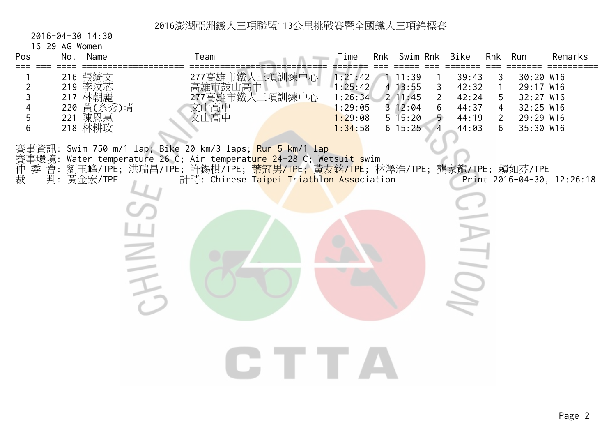#### 2016-04-30 14:30

 $\geq$ 

16-29 AG Women

| Pos | No.<br>Name       | eam            | $\tau$ ime | Rnk | Swim Rnk     | Bike  | Rnk | Run         | Remarks |
|-----|-------------------|----------------|------------|-----|--------------|-------|-----|-------------|---------|
|     |                   |                |            |     |              |       |     |             |         |
|     | 216 張綺文           | 三項訓練中心<br>/高雄市 | 1:21:42    |     | 11:39        | 39:43 |     | 30:20 W16   |         |
|     | 「本泣芷<br>219       | 雄市鼓山高中         | 1:25:42    |     | $4 \; 13:55$ | 42:32 |     | 29:17 W16   |         |
|     | 林朝麗<br>217        | '高雄市鐵人三項訓練中心   | 1:26:34    |     | 211:45       | 42:24 |     | $32:27$ W16 |         |
|     | 黃<br>,糸秀)晴<br>220 | 高              | : 29:05    |     | $3 \t12:04$  | 44:37 |     | 32:25 W16   |         |
|     | 陳恩惠<br>221        | 山高山            | : 29:08    |     | $5 \; 15:20$ | 44:19 |     | 29:29 W16   |         |
|     | 林耕玫<br>218        |                | 1:34:58    |     | $6\;15:25$   | 44:03 | b   | 35:30 W16   |         |

賽事資訊: Swim 750 m/1 lap; Bike 20 km/3 laps; Run 5 km/1 lap 賽事環境: Water temperature 26 C; Air temperat<mark>ure 2</mark>4-28 C; Wetsuit swim 仲 委 會: 劉玉峰/TPE; 洪瑞昌/TPE; 許錫棋/TPE; <mark>葉冠男/TPE;</mark> 黃友銘/<mark>TPE</mark>; 林澤浩/TPE; 龔家龍/TPE; 賴如芬/TPE 裁 判: 黃金宏/TPE 計時: Chinese T<mark>aipei Triathlon Asso</mark>ciation Print 2016-04-30, 12:26:18

CTTA

 $110$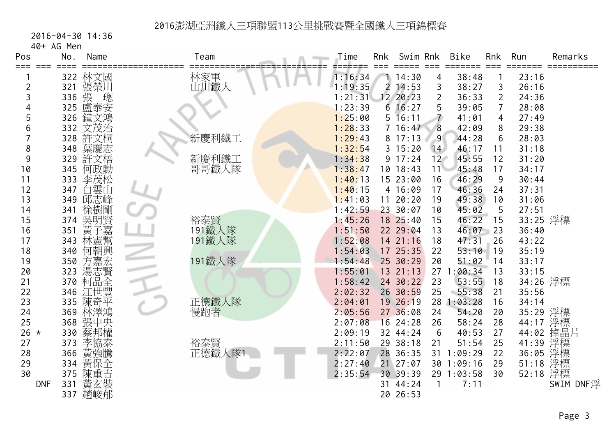2016-04-30 14:36

|            | 40+ AG Men |         |               |         |                |             |                 |             |                |          |           |
|------------|------------|---------|---------------|---------|----------------|-------------|-----------------|-------------|----------------|----------|-----------|
| Pos        | No.        | Name    | Team          | Time    | Rnk            | Swim Rnk    |                 | <b>Bike</b> | <b>Rnk</b>     | Run      | Remarks   |
| ===        |            |         |               |         |                |             |                 |             |                |          |           |
|            | 322        | 林文國     | 林家軍<br>山川鐵人   | 1:16:34 |                | 14:30       | 4               | 38:48       |                | 23:16    |           |
| 2          |            | 321 張榮川 |               | 1:19:35 | $\overline{2}$ | 14:53       | 3               | 38:27       | 3              | 26:16    |           |
| 3          | 336        | 張<br>璁  |               | 1:21:31 |                | 12 20:23    | $\overline{2}$  | 36:33       | $\overline{2}$ | 24:36    |           |
| 4          | 325        | 盧泰安     |               | 1:23:39 |                | 616:27      |                 | 39:05       | $\overline{7}$ | 28:08    |           |
| 5          | 326        | 鐘文鴻     |               | 1:25:00 |                | $5 \t16:11$ |                 | 41:01       | 4              | 27:49    |           |
| 6          | 332        | 文茂治     |               | 1:28:33 |                | 7 16:47     | 8               | 42:09       | 8              | 29:38    |           |
|            | 328        | 許文桐     | 新慶利鐵工         | 1:29:43 |                | 8 17:13     | $\overline{9}$  | 44:28       | 6              | 28:03    |           |
| 8          | 348        | 葉慶志     |               | 1:32:54 |                | 3 15:20     | 14              | 46:17       | 11             | 31:18    |           |
| 9          | 329        | 許文梧     | 新慶利鐵工         | 1:34:38 |                | 9 17:24     | 12 <sup>2</sup> | 45:55       | 12             | 31:20    |           |
| 10         | 345        | 何政勳     | 哥哥鐵人隊         | 1:38:47 |                | 10 18:43    | 11              | 45:48       | 17             | 34:17    |           |
| 11         | 333        | 李茂松     |               | 1:40:13 |                | 15 23:00    | 16              | 46:29       | 9              | 30:44    |           |
| 12         | 347        | 白雲山     |               | 1:40:15 |                | 4 16:09     | 17              | 46:36       | 24             | 37:31    |           |
| 13         | 349        | 邱志峰     |               | 1:41:03 | 11             | 20:20       | 19              | 49:38       | 10             | 31:06    |           |
| 14         | 341        | 徐樹剛     |               | 1:42:59 |                | 23 30:07    | 10              | 45:02       | 5              | 27:51    |           |
| 15         | 374        | 吳明賢     | 裕泰賢<br>191鐵人隊 | 1:45:26 |                | 18 25:40    | 15              | 46:22       | 15             | 33:25 浮標 |           |
| 16         | 351        | 《黃子靈》   |               | 1:51:50 |                | 22 29:04    | 13              | 46:07       | 23             | 36:40    |           |
| 17         | 343        |         | 191鐵人隊        | 1:52:08 |                | 14 21:16    | 18              | 47:31       | 26             | 43:22    |           |
| 18         | 340        | 何朝興     |               | 1:54:03 |                | 17 25:35    | 22              | 53:10       | 19             | 35:19    |           |
| 19         | 350        | 方嘉宏     | 191鐵人隊        | 1:54:48 |                | 25 30:29    | 20              | 51:02       | 14             | 33:17    |           |
| 20         | 323        | 湯志賢     |               | 1:55:01 |                | 13 21:13    | 27              | 1:00:34     | 13             | 33:15    |           |
| 21         | 370        | 柯品全     |               | 1:58:42 |                | 24 30:22    | 23              | 53:55       | 18             | 34:26 浮標 |           |
| 22         |            | 346 江世豐 |               | 2:02:32 |                | 26 30:59    | 25              | $-55:38$    | 21             | 35:56    |           |
| 23         | 335        | 陳奇平     | 正德鐵人隊<br>慢跑者  | 2:04:01 |                | 19 26:19    | 28              | 1:03:28     | 16             | 34:14    |           |
| 24         | 369        | 林澤鴻     |               | 2:05:56 |                | 27 36:08    | 24              | 54:20       | 20             | 35:29 浮標 |           |
| 25         |            | 368 張中央 |               | 2:07:08 |                | 16 24:28    | 26              | 58:24       | 28             | 44:17 浮標 |           |
| 26 $*$     | 330        | 蔡邦權     |               | 2:09:19 |                | 32 44:24    | 6               | 40:53       | 27             | 44:02    | 掉晶片       |
| 27         | 373        | 李協泰     | 裕泰賢           | 2:11:50 |                | 29 38:18    | 21              | 51:54       | 25             | 41:39    | 浮標        |
| 28         | 366        | 黃強騰     | 正德鐵人隊1        | 2:22:07 |                | 28 36:35    | 31              | 1:09:29     | 22             | 36:05    | 浮標        |
| 29         |            | 334 黃保全 |               | 2:27:40 |                | 21 27:07    | 30              | 1:09:16     | 29             | 51:18    | 浮標        |
| 30         | 375        | 陳重吉     |               | 2:35:54 |                | 30 39:39    | 29              | 1:03:58     | 30             | 52:18 浮標 |           |
| <b>DNF</b> | 331        | 黃玄裝     |               |         | 31             | 44:24       | 1               | 7:11        |                |          | SWIM DNF浮 |
|            | 337        | 趙峻郁     |               |         |                | 20 26:53    |                 |             |                |          |           |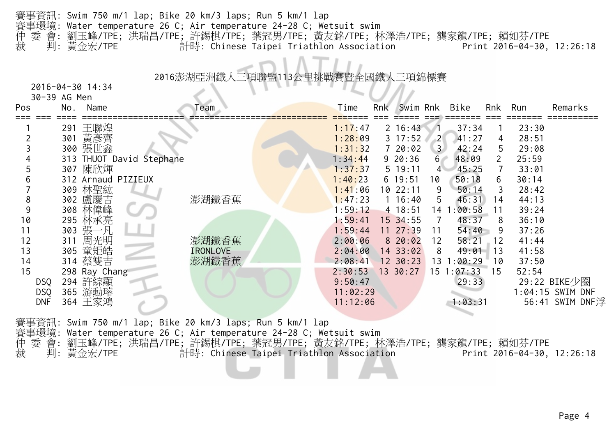|                | 賽事資訊: Swim 750 m/1 lap; Bike 20 km/3 laps; Run 5 km/1 lap                     |  |  |                            |  |
|----------------|-------------------------------------------------------------------------------|--|--|----------------------------|--|
|                | 賽事環境: Water temperature 26 C; Air temperature 24-28 C; Wetsuit swim           |  |  |                            |  |
|                | 仲 委 會: 劉玉峰/TPE; 洪瑞昌/TPE; 許錫棋/TPE; 葉冠男/TPE; 黃友銘/TPE; 林澤浩/TPE; 龔家龍/TPE; 賴如芬/TPE |  |  |                            |  |
| 裁   判: 黃金宏/TPE | 計時: Chinese Taipei Triathlon Association                                      |  |  | Print 2016-04-30, 12:26:18 |  |

#### 2016澎湖亞洲鐵人三項聯盟

 2016-04-30 14:3430-39 AG Men

| ווסויו טא ככ־שכ |                                                                                                                                                              |                                                                 |                                     |         |                                                                                                                                  |                                        |                                                                                                                                                                                             |               |                                                                              |                                                                                                                                                                                       |                                                                                                                            |
|-----------------|--------------------------------------------------------------------------------------------------------------------------------------------------------------|-----------------------------------------------------------------|-------------------------------------|---------|----------------------------------------------------------------------------------------------------------------------------------|----------------------------------------|---------------------------------------------------------------------------------------------------------------------------------------------------------------------------------------------|---------------|------------------------------------------------------------------------------|---------------------------------------------------------------------------------------------------------------------------------------------------------------------------------------|----------------------------------------------------------------------------------------------------------------------------|
| No.<br>Name     |                                                                                                                                                              | Team                                                            |                                     | Time    |                                                                                                                                  |                                        |                                                                                                                                                                                             |               | Rnk                                                                          | Run                                                                                                                                                                                   | Remarks                                                                                                                    |
|                 |                                                                                                                                                              |                                                                 |                                     |         |                                                                                                                                  |                                        |                                                                                                                                                                                             |               |                                                                              |                                                                                                                                                                                       |                                                                                                                            |
|                 |                                                                                                                                                              |                                                                 |                                     |         |                                                                                                                                  |                                        | $\left  \frac{2}{2} \right $                                                                                                                                                                |               | 4                                                                            | 28:51                                                                                                                                                                                 |                                                                                                                            |
| 300 張世鑫         |                                                                                                                                                              |                                                                 |                                     | 1:31:32 |                                                                                                                                  |                                        |                                                                                                                                                                                             |               | 5                                                                            | 29:08                                                                                                                                                                                 |                                                                                                                            |
|                 |                                                                                                                                                              |                                                                 |                                     | 1:34:44 |                                                                                                                                  |                                        |                                                                                                                                                                                             |               |                                                                              | 25:59                                                                                                                                                                                 |                                                                                                                            |
|                 |                                                                                                                                                              |                                                                 |                                     | 1:37:37 |                                                                                                                                  |                                        | $\overline{4}$                                                                                                                                                                              |               |                                                                              | 33:01                                                                                                                                                                                 |                                                                                                                            |
|                 |                                                                                                                                                              |                                                                 |                                     |         |                                                                                                                                  |                                        | 10                                                                                                                                                                                          | 50:18         | 6                                                                            | 30:14                                                                                                                                                                                 |                                                                                                                            |
|                 |                                                                                                                                                              |                                                                 |                                     |         |                                                                                                                                  |                                        | 9                                                                                                                                                                                           |               | 3                                                                            |                                                                                                                                                                                       |                                                                                                                            |
|                 |                                                                                                                                                              |                                                                 |                                     |         |                                                                                                                                  |                                        | 5                                                                                                                                                                                           |               |                                                                              |                                                                                                                                                                                       |                                                                                                                            |
|                 |                                                                                                                                                              |                                                                 |                                     |         |                                                                                                                                  |                                        |                                                                                                                                                                                             |               |                                                                              |                                                                                                                                                                                       |                                                                                                                            |
|                 |                                                                                                                                                              |                                                                 |                                     |         |                                                                                                                                  |                                        |                                                                                                                                                                                             |               |                                                                              |                                                                                                                                                                                       |                                                                                                                            |
|                 |                                                                                                                                                              |                                                                 |                                     |         |                                                                                                                                  |                                        |                                                                                                                                                                                             |               |                                                                              |                                                                                                                                                                                       |                                                                                                                            |
|                 |                                                                                                                                                              |                                                                 |                                     |         |                                                                                                                                  |                                        |                                                                                                                                                                                             |               |                                                                              |                                                                                                                                                                                       |                                                                                                                            |
|                 |                                                                                                                                                              |                                                                 |                                     |         |                                                                                                                                  |                                        |                                                                                                                                                                                             |               |                                                                              |                                                                                                                                                                                       |                                                                                                                            |
|                 |                                                                                                                                                              |                                                                 |                                     |         |                                                                                                                                  |                                        |                                                                                                                                                                                             |               |                                                                              |                                                                                                                                                                                       |                                                                                                                            |
|                 |                                                                                                                                                              |                                                                 |                                     |         |                                                                                                                                  |                                        |                                                                                                                                                                                             |               |                                                                              |                                                                                                                                                                                       |                                                                                                                            |
|                 |                                                                                                                                                              |                                                                 |                                     |         |                                                                                                                                  |                                        |                                                                                                                                                                                             |               |                                                                              |                                                                                                                                                                                       |                                                                                                                            |
|                 |                                                                                                                                                              |                                                                 |                                     |         |                                                                                                                                  |                                        |                                                                                                                                                                                             |               |                                                                              |                                                                                                                                                                                       |                                                                                                                            |
|                 |                                                                                                                                                              |                                                                 |                                     |         |                                                                                                                                  |                                        |                                                                                                                                                                                             |               |                                                                              |                                                                                                                                                                                       | 56:41 SWIM DNF浮                                                                                                            |
|                 | 王聯煌<br>291<br>黃彥齊<br>301<br>307 陳欣煇<br>309 林聖紘<br>302 盧慶吉<br>308 林偉峰<br>295 林承亮<br>303 張一凡<br>311 周光明<br>305 童矩皓<br>314 蔡雙吉<br>294 許綜顯<br>365 游勳璿<br>364 王家鴻 | 313 THUOT David Stephane<br>312 Arnaud PIZIEUX<br>298 Ray Chang | 澎湖鐵香蕉<br>澎湖鐵香蕉<br>IRONLOVE<br>澎湖鐵香蕉 |         | 1:17:47<br>1:28:09<br>1:40:23<br>1:41:06<br>1:47:23<br>1:59:12<br>1:59:41<br>1:59:44<br>2:00:06<br>2:08:41<br>2:30:53<br>9:50:47 | Rnk<br>2:04:00<br>11:02:29<br>11:12:06 | $2 \t16:43$<br>$3 \t17:52$<br>720:02<br>$9\ 20:36$<br>5 19:11<br>$6\;19:51$<br>10 22:11<br>$1 \t16:40$<br>4 18:51<br>15 34:55<br>$11 \t27:39$<br>820:02<br>14 33:02<br>12 30:23<br>13 30:27 | 11<br>12<br>8 | Swim Rnk Bike<br>3 <sup>1</sup><br>6 <sup>7</sup><br>58:21<br>$15 \t1:07:33$ | 37:34<br>41:27<br>42:24<br>48:09<br>45:25<br>50:14<br>46:31<br>14<br>14 1:00:58<br>11<br>48:37<br>8<br>54:40<br>-9<br>12<br>49:01<br>13<br>13 1:00:29<br>10<br>15<br>29:33<br>1:03:31 | 23:30<br>28:42<br>44:13<br>39:24<br>36:10<br>37:26<br>41:44<br>41:58<br>37:50<br>52:54<br>29:22 BIKE少圈<br>1:04:15 SWIM DNF |

賽事資訊: Swim 750 m/1 lap; Bike 20 km/3 laps; Run 5 km/1 lap 賽事環境: Water temperature 26 C; Air temperature 24-28 C; Wetsuit swim 仲 委 會: 劉玉峰/TPE; 洪瑞昌/TPE; 許錫棋/TPE; 葉冠男/TPE; 黃友銘/TPE; 林澤浩/TPE; 龔家龍/TPE; 賴如芬/TPE 裁 判: 黃金宏/TPE 計時: Chinese Taipei Triathlon Association Print 2016-04-30, 12:26:18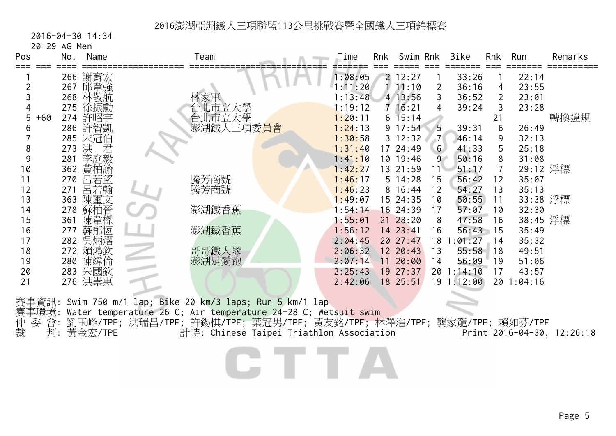2016-04-30 14:34

| 20-29 AG Men |  |  |
|--------------|--|--|
|--------------|--|--|

| Pos         | No.   | Name    | Team                    | Time    | Rnk | Swim Rnk     |                | Bike       | Rnk | Run       | Remarks |
|-------------|-------|---------|-------------------------|---------|-----|--------------|----------------|------------|-----|-----------|---------|
|             |       | 266 謝育宏 |                         | 1:08:05 |     | 2 12:27      |                | 33:26      |     | 22:14     |         |
|             | 267   | 邱韋強     |                         | : 11:20 |     | 11:10        | 2              | 36:16      | 4   | 23:55     |         |
|             | 268   | 林敬航     |                         | : 13:48 |     | 4 13:56      | 3              | 36:52      | 2   | 23:01     |         |
|             |       | 275 徐振勳 | 立大學                     | : 19:12 |     | $7 \; 16:21$ | 4              | 39:24      | 3   | 23:28     |         |
| $+60$<br>5. |       | 274 許昭宇 |                         | 1:20:11 |     | $6\;15:14$   |                |            | 21  |           | 轉換違規    |
|             |       | 286 許智凱 | 澎湖鐵人三項委 <mark>員會</mark> | 1:24:13 |     | $9 \t17:54$  | 5              | 39:31      | 6   | 26:49     |         |
|             |       | 285 宋冠伯 |                         | 1:30:58 |     | $3 \t12:32$  |                | 46:14      | 9   | 32:13     |         |
|             | 273 洪 | 君       |                         | 1:31:40 |     | 17 24:49     | 6 <sup>1</sup> | 41:33      | 5   | 25:18     |         |
|             | 281   | 李庭毅     |                         | 1:41:10 |     | 10 19:46     | 9              | 50:16      | 8   | 31:08     |         |
| 10          | 362   | 黃柏諭     |                         | 1:42:27 |     | 13 21:59     | 11             | 51:17      | 7   | 29:12 浮標  |         |
|             | 270   | 呂若望     | 騰芳商號                    | 1:46:17 |     | 5 14:28      | 15             | 56:42      | 12  | 35:07     |         |
| 12          | 271   | 呂若翰     | 騰芳商號                    | 1:46:23 |     | $8 \t16:44$  | 12             | 54:27      | 13  | 35:13     |         |
| 13          | 363   | 陳璽文     |                         | 1:49:07 |     | 15 24:35     | 10             | 50:55      | 11  | 33:38 浮標  |         |
| 14          | 278   | 蘇柏晉     | 澎湖鐵香蕉                   | 1:54:14 |     | 16 24:39     | 17             | 57:07      | 10  | 32:30     |         |
| 15          | 361   | 陳韋榤     |                         | 1:55:01 |     | $21 \t28:20$ | 8              | 47:58      | 16  | 38:45 浮標  |         |
| 16          | 277   | 蘇郁恆     | 澎湖鐵香蕉                   | 1:56:12 |     | 14 23:41     | 16             | 56:43      | ⊩15 | 35:49     |         |
| 17          |       | 282 吳炳熠 |                         | 2:04:45 |     | 20 27:47     | 18             | 1:01:27    | 14  | 35:32     |         |
| 18          |       | 272 賴鴻欽 | 哥哥鐵人隊                   | 2:06:32 |     | 12 20:43     | 13             | 55:58      | 18  | 49:51     |         |
| 19          |       | 280 陳緯倫 | 澎湖足愛跑                   | 2:07:14 |     | 11 20:00     | 14             | 56:09      | 19  | 51:06     |         |
| 20          |       | 283 朱國欽 |                         | 2:25:43 |     | 19 27:37     |                | 20 1:14:10 | 17  | 43:57     |         |
| 21          |       | 276 洪崇惠 |                         | 2:42:06 |     | 18 25:51     |                | 19 1:12:00 |     | 201:04:16 |         |
|             |       |         |                         |         |     |              |                |            |     |           |         |

賽事資訊: Swim 750 m/1 lap; Bike 20 km/3 laps; Run 5 km/1 lap 賽事環境: Water temperature 26 C; Air temperature 24-28 C; Wetsuit swim 仲 委 會: 劉玉峰/TPE; 洪瑞昌/TPE; 許錫棋/TPE; 葉冠男/TPE; 黃友銘/TPE; 林澤浩/TPE; 龔家龍/TPE; 賴如芬/TPE 裁 判: 黃金宏/TPE 計時: Chinese Taipei Triathlon Association Print 2016-04-30, 12:26:18

2 T T T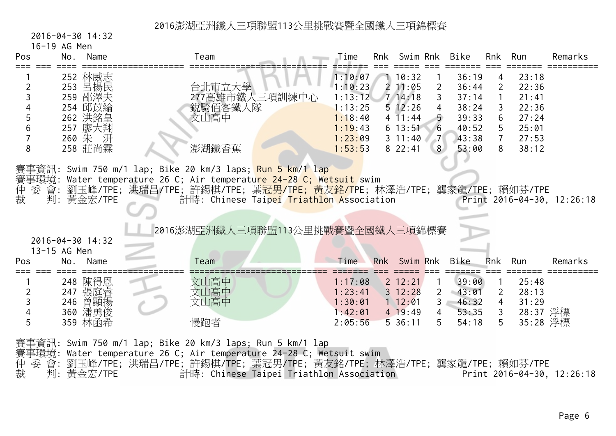#### 2016-04-30 14:32

|  |  |  | 16-19 AG Men |  |
|--|--|--|--------------|--|
|--|--|--|--------------|--|

| Pos    | Name<br>No.                                                                                                                                                                                                                                                                                                                                        | Team                                                 | Time                                                                                 | Rnk | Swim Rnk                                                                                                       |                                                                    | Bike                                                                 | Rnk                                                                     | Run                                                                  | Remarks |
|--------|----------------------------------------------------------------------------------------------------------------------------------------------------------------------------------------------------------------------------------------------------------------------------------------------------------------------------------------------------|------------------------------------------------------|--------------------------------------------------------------------------------------|-----|----------------------------------------------------------------------------------------------------------------|--------------------------------------------------------------------|----------------------------------------------------------------------|-------------------------------------------------------------------------|----------------------------------------------------------------------|---------|
| 8      | 252 林威志<br>253 呂揚民<br>259 邵澤夫<br>254 邱苡綸<br>262 洪銘皇<br>257 廖大翔<br>260 朱 汧<br>258 莊尚霖                                                                                                                                                                                                                                                               | 台北市立大學<br>277高雄市鐵人三項訓練中心<br>銳騎佰客鐵人隊<br>文山高中<br>澎湖鐵香蕉 | 1:10:07<br>1:10:23<br>1:13:12<br>1:13:25<br>1:18:40<br>1:19:43<br>1:23:09<br>1:53:53 |     | 1 10:32<br>$2\;11:05$<br>7, 14:18<br>$5 \t12:26$<br>$4\overline{11:}44$<br>$6\;13:51$<br>$3 \t11:40$<br>822:41 | $\overline{2}$<br>$\mathbf{3}$<br>4<br>6<br>$-7$<br>8 <sup>1</sup> | 36:19<br>36:44<br>37:14<br>38:24<br>39:33<br>40:52<br>43:38<br>53:00 | 4<br>$\overline{2}$<br>1<br>3<br>6<br>5<br>$7^{\circ}$<br>8             | 23:18<br>22:36<br>21:41<br>22:36<br>27:24<br>25:01<br>27:53<br>38:12 |         |
| 仲<br>裁 | 賽事資訊: Swim 750 m/1 lap; Bike 20 km/3 laps; <mark>Run 5 km/1 lap</mark><br>賽事環境: Water temperature 26 C; Air temperatu <mark>re 24-28 C; Wetsuit </mark> swim<br>委 會: 劉玉峰/TPE; 洪瑞昌/TPE; 許錫棋/TPE; 葉 <mark>冠男/TPE; 黃友銘/T</mark> PE; 林澤浩/TPE; 龔家龍/TPE; 賴如芬/TPE<br>判: 黃金宏/TPE<br>計時: Chinese Taipei Triathlon Association<br>Print 2016-04-30, 12:26:18 |                                                      |                                                                                      |     |                                                                                                                |                                                                    |                                                                      |                                                                         |                                                                      |         |
|        | 2016-04-30 14:32<br>13-15 AG Men                                                                                                                                                                                                                                                                                                                   | 2016澎湖亞洲鐵人三項聯盟113公里挑戰賽暨全國鐵人三項錦標賽                     |                                                                                      |     |                                                                                                                |                                                                    |                                                                      |                                                                         |                                                                      |         |
| Pos    | No.<br>Name                                                                                                                                                                                                                                                                                                                                        | Team                                                 | Time                                                                                 |     | Rnk Swim Rnk                                                                                                   |                                                                    | Bike                                                                 | <b>Rnk</b>                                                              | Run                                                                  | Remarks |
|        | 248 陳得恩<br>247 張庭睿<br>246 曾顯揚<br>360 潘勇俊<br>359 林函希                                                                                                                                                                                                                                                                                                | 文山高中<br>文山高中<br>文山高中<br>慢跑者                          | 1:17:08<br>1:23:41<br>1:30:01<br>1:42:01<br>2:05:56                                  |     | $2 \t12:21$<br>$3 \t12:28$<br>$1\ 12:01$<br>$4 \t19:49$<br>536:11                                              | $\overline{2}$<br>$\overline{4}$<br>5                              | 39:00<br>$-43:01$<br>46:32<br>$3 -$<br>53:35<br>54:18                | $\overline{1}$<br>$\overline{2}$<br>$\overline{4}$<br>$\mathbf{3}$<br>5 | 25:48<br>28:13<br>31:29<br>28:37 浮標<br>35:28 浮標                      |         |

賽事資訊: Swim 750 m/1 lap; Bike 20 km/3 laps; Run 5 km/1 lap 賽事環境: Water temperature 26 C; Air temperature 24-28 C; Wetsuit swim 仲 委 會: 劉玉峰/TPE; 洪瑞昌/TPE; 許錫棋/TPE; 葉冠男/TPE; 黃友銘/TPE; 林澤浩/TPE; 龔家龍/TPE; 賴如芬/TPE 裁 判: 黃金宏/TPE 計時: Chinese Taipei Triathlon Association Print 2016-04-30, 12:26:18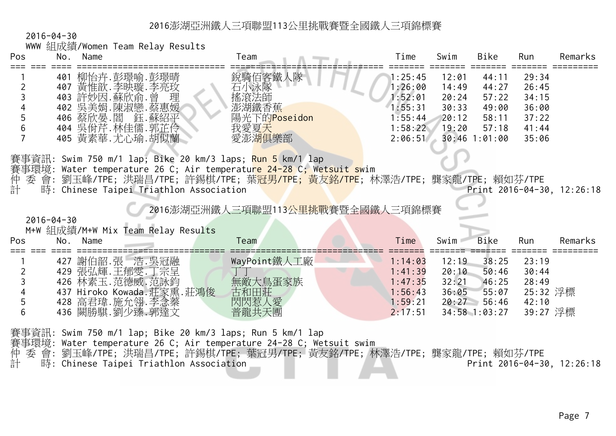2016-04-30

|  |  |  |  |  | WWW 組成績/Women Team Relay Results |
|--|--|--|--|--|----------------------------------|
|--|--|--|--|--|----------------------------------|

| Pos         | No.<br>Name                                                                                                                                                                          | Team                                                               | $\tau$ ime                                                                | Swim                                               | <b>Bike</b>                                                           | Run                                                         | Remarks |
|-------------|--------------------------------------------------------------------------------------------------------------------------------------------------------------------------------------|--------------------------------------------------------------------|---------------------------------------------------------------------------|----------------------------------------------------|-----------------------------------------------------------------------|-------------------------------------------------------------|---------|
| 4<br>5<br>6 | …彭璟喻<br>柳怡卉<br>j.彭璟晴<br>401<br>、季映璇.李亮玫<br>黃惟歆<br>407<br>曾<br>許妙因.蘇欣俞.<br>理<br>403<br>吳美娟.陳淑戀.蔡惠媛<br>402<br>鈺.蘇紹平<br>蔡欣晏.閻<br>406<br>". 林佳儒. 郭芷伶<br>吳佾芹.<br>404<br>405 黃素華. 尤心瑜. 胡似蘭 | 銳騎佰客鐵人隊<br>石小泳隊<br>搖滾法師<br>澎湖鐵香蕉<br>陽光下的Poseidon<br>我愛夏天<br>愛澎湖俱樂部 | 1:25:45<br>1:26:00<br>1:52:01<br>1:55:31<br>1:55:44<br>1:58:22<br>2:06:51 | 12:01<br>14:49<br>20:24<br>30:33<br>20:12<br>19:20 | 44:11<br>44:27<br>57:22<br>49:00<br>58:11<br>57:18<br>$30:46$ 1:01:00 | 29:34<br>26:45<br>34:15<br>36:00<br>37:22<br>41:44<br>35:06 |         |
|             |                                                                                                                                                                                      |                                                                    |                                                                           |                                                    |                                                                       |                                                             |         |

賽事資訊: Swim 750 m/1 lap; Bike 20 km/3 laps; Run 5 km/1 lap

賽事環境: Water temperature 26 C; Air temperatu<mark>re 24-28 C; Wetsuit sw</mark>im<br>仲 委 會: 劉玉峰/TPE; 洪瑞昌/TPE; 許錫棋/TPE; 葉冠男/<mark>TPE; 黃友銘/TPE</mark>; 杉<br>計 時: Chinese Taipei Triathlon Association 系 會: 劉玉峰/TPE; 洪瑞昌/TPE; 許錫棋/TPE; 葉<mark>冠男/TPE; 黃友銘/TPE</mark>; 林澤浩/TPE; 龔家龍/TPE; 賴如芬/TPE

時: Chinese Taipei Triathlon Association 2016-04-30, 12:26:18

<sup>2016</sup>澎湖亞洲鐵人三項聯盟113公里挑戰賽暨全國鐵人三項錦標賽

2016-04-30

M+W 組成績/M+W Mix Team Relay Results

| Pos | ハート・マーク マルン<br>Name<br>No. | Team         | Time    | Bike<br>Swim   | Remarks<br>Run |
|-----|----------------------------|--------------|---------|----------------|----------------|
|     | 謝伯韶.張 浩.吳冠融<br>427         | WayPoint鐵人工廠 | 1:14:03 | 38:25<br>12:19 | 23:19          |
|     | 429 張弘輝.王郁雯.丁宗呈            |              | 1:41:39 | 20:10<br>50:46 | 30:44          |
|     | 426 林素玉. 范德威. 范詠鈞          | 無敵大鳥蛋家族      | 1:47:35 | 32:21<br>46:25 | 28:49          |
| 4   | 437 Hiroko Kowada.莊家熏.莊鴻俊  | 古和田莊         | 1:56:43 | 55:07<br>36:05 | 25:32 浮標       |
| 5   | 428 高君瑋.施允翎.李念蓁            | 閃閃惹人愛        | 1:59:21 | 20:27<br>56:46 | 42:10          |
| b   | 436 闕勝騏.劉少臻.郭達文            | 普龍共天團        | 2:17:51 | 34:58 1:03:27  | 39:27 浮標       |

賽事資訊: Swim 750 m/1 lap; Bike 20 km/3 laps; Run 5 km/1 lap 賽事環境: Water temperature 26 C; Air temperature 24-28 C; Wetsuit swim<br>仲 委 會: 劉玉峰/TPE; 洪瑞昌/TPE; 許錫棋/TPE; 葉冠男/TPE; 黃友銘/TPE; 材<br>計 時: Chinese Taipei Triathlon Association 仲 委 會: 劉玉峰/TPE; 洪瑞昌/TPE; 許錫棋/TPE; 葉冠男/TPE; 黃友銘/TPE; 林澤浩/TPE; 龔家龍/TPE; 賴如芬/TPE 時: Chinese Taipei Triathlon Association 2016-04-30, 12:26:18